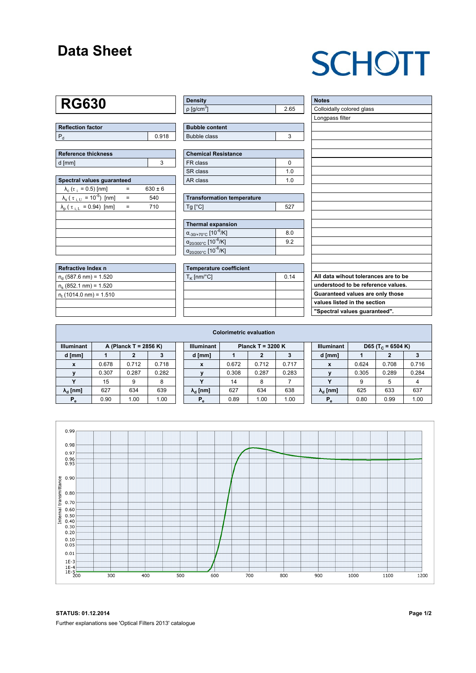### **Data Sheet**

# **SCHOTT**

## **RG630**

| Reflection factor |       |  |  |  |  |  |
|-------------------|-------|--|--|--|--|--|
|                   | 0.918 |  |  |  |  |  |

| <b>Reference thickness</b> |  |  |  |  |  |  |
|----------------------------|--|--|--|--|--|--|
| d [mm]                     |  |  |  |  |  |  |

| Spectral values quaranteed                                     |     |             |  |  |  |  |  |  |  |
|----------------------------------------------------------------|-----|-------------|--|--|--|--|--|--|--|
| $\lambda_c$ ( $\tau_i$ = 0.5) [nm]                             |     | $630 \pm 6$ |  |  |  |  |  |  |  |
| $\lambda_{\rm s}$ ( $\tau_{\rm i,U}$ = 10 <sup>-5</sup> ) [nm] | $=$ | 540         |  |  |  |  |  |  |  |
| $\lambda_{\rm p}$ ( $\tau_{\rm i, L}$ = 0.94) [nm]             |     | 710         |  |  |  |  |  |  |  |
|                                                                |     |             |  |  |  |  |  |  |  |
|                                                                |     |             |  |  |  |  |  |  |  |
|                                                                |     |             |  |  |  |  |  |  |  |
|                                                                |     |             |  |  |  |  |  |  |  |
|                                                                |     |             |  |  |  |  |  |  |  |

| Refractive Index n              |  |
|---------------------------------|--|
| $n_d$ (587.6 nm) = 1.520        |  |
| $n_e$ (852.1 nm) = 1.520        |  |
| $n_{\rm t}$ (1014.0 nm) = 1.510 |  |
|                                 |  |

| <b>Density</b>            |      |
|---------------------------|------|
| $\rho$ [g/cm <sup>3</sup> | 2.65 |

| <b>Bubble content</b> |  |
|-----------------------|--|
| Bubble class          |  |

| <b>Chemical Resistance</b> |     |  |  |  |  |  |
|----------------------------|-----|--|--|--|--|--|
| FR class                   |     |  |  |  |  |  |
| l SR class                 | 1 N |  |  |  |  |  |
| l AR class                 | 1 በ |  |  |  |  |  |

| <b>Transformation temperature</b> |     |  |  |  |  |  |
|-----------------------------------|-----|--|--|--|--|--|
| $Ta$ $C1$                         | 527 |  |  |  |  |  |

| Thermal expansion                                 |     |
|---------------------------------------------------|-----|
| $\alpha_{-30/+70\degree}$ c [10 <sup>-6</sup> /K] | 8.0 |
| $\alpha_{20/300^{\circ}C}$ [10 $^{-6}$ /K]        | 92  |
| $\alpha_{20/200^{\circ}C}$ [10 $\overline{6}$ /K] |     |

| Temperature coefficient |      |  |  |  |  |  |  |
|-------------------------|------|--|--|--|--|--|--|
| $T_K$ [nm/°C]           | 0.14 |  |  |  |  |  |  |
|                         |      |  |  |  |  |  |  |
|                         |      |  |  |  |  |  |  |
|                         |      |  |  |  |  |  |  |
|                         |      |  |  |  |  |  |  |

| <b>Notes</b>                         |
|--------------------------------------|
| Colloidally colored glass            |
| Longpass filter                      |
|                                      |
|                                      |
|                                      |
|                                      |
|                                      |
|                                      |
|                                      |
|                                      |
|                                      |
|                                      |
|                                      |
|                                      |
|                                      |
|                                      |
|                                      |
|                                      |
|                                      |
| All data wihout tolerances are to be |
| understood to be reference values.   |
| Guaranteed values are only those     |
| values listed in the section         |
| "Spectral values guaranteed".        |

| <b>Colorimetric evaluation</b>             |       |       |       |                                          |                        |       |       |       |                                                    |                        |       |       |       |
|--------------------------------------------|-------|-------|-------|------------------------------------------|------------------------|-------|-------|-------|----------------------------------------------------|------------------------|-------|-------|-------|
| <b>Illuminant</b><br>A (Planck T = 2856 K) |       |       |       | <b>Illuminant</b><br>Planck T = $3200 K$ |                        |       |       |       | <b>Illuminant</b><br>D65 (T <sub>c</sub> = 6504 K) |                        |       |       |       |
| d [mm]                                     |       |       |       |                                          | d [mm]                 |       |       |       |                                                    | d [mm]                 |       |       |       |
| X                                          | 0.678 | 0.712 | 0.718 |                                          | X                      | 0.672 | 0.712 | 0.717 |                                                    | X                      | 0.624 | 0.708 | 0.716 |
| v                                          | 0.307 | 0.287 | 0.282 |                                          |                        | 0.308 | 0.287 | 0.283 |                                                    |                        | 0.305 | 0.289 | 0.284 |
|                                            | 15    | 9     | 8     |                                          | v                      | 14    | 8     |       |                                                    |                        | 9     | 5     | 4     |
| $\lambda_{\rm d}$ [nm]                     | 627   | 634   | 639   |                                          | $\lambda_{\rm d}$ [nm] | 627   | 634   | 638   |                                                    | $\lambda_{\rm d}$ [nm] | 625   | 633   | 637   |
| $P_e$                                      | 0.90  | 1.00  | 1.00  |                                          | $P_e$                  | 0.89  | 1.00  | 1.00  |                                                    | $P_e$                  | 0.80  | 0.99  | 1.00  |